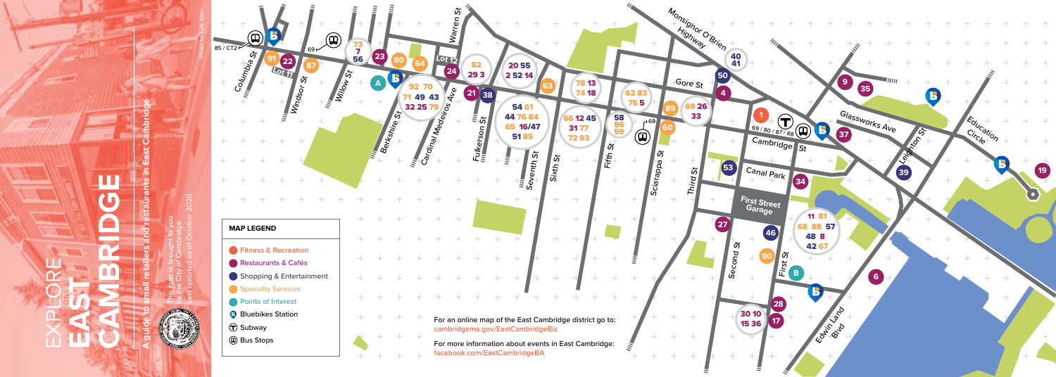

## ш **CAMBRIDGE**  $\overline{\mathbf{G}}$ EXPLORE **EAST**

**A guide to small retailers and restaurants in East Cambridge**

aurants

nbric

This map is brought to you by the City of Cambridge Last updated as of October 2020